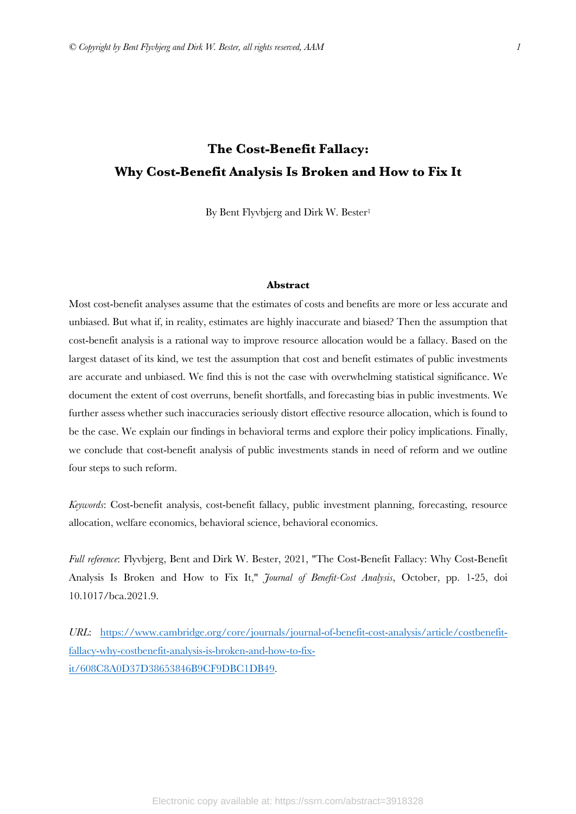# **The Cost-Benefit Fallacy: Why Cost-Benefit Analysis Is Broken and How to Fix It**

By Bent Flyvbjerg and Dirk W. Bester<sup>1</sup>

#### **Abstract**

Most cost-benefit analyses assume that the estimates of costs and benefits are more or less accurate and unbiased. But what if, in reality, estimates are highly inaccurate and biased? Then the assumption that cost-benefit analysis is a rational way to improve resource allocation would be a fallacy. Based on the largest dataset of its kind, we test the assumption that cost and benefit estimates of public investments are accurate and unbiased. We find this is not the case with overwhelming statistical significance. We document the extent of cost overruns, benefit shortfalls, and forecasting bias in public investments. We further assess whether such inaccuracies seriously distort effective resource allocation, which is found to be the case. We explain our findings in behavioral terms and explore their policy implications. Finally, we conclude that cost-benefit analysis of public investments stands in need of reform and we outline four steps to such reform.

*Keywords*: Cost-benefit analysis, cost-benefit fallacy, public investment planning, forecasting, resource allocation, welfare economics, behavioral science, behavioral economics.

*Full reference*: Flyvbjerg, Bent and Dirk W. Bester, 2021, "The Cost-Benefit Fallacy: Why Cost-Benefit Analysis Is Broken and How to Fix It," *Journal of Benefit-Cost Analysis*, October, pp. 1-25, doi 10.1017/bca.2021.9.

*URL*: https://www.cambridge.org/core/journals/journal-of-benefit-cost-analysis/article/costbenefitfallacy-why-costbenefit-analysis-is-broken-and-how-to-fixit/608C8A0D37D38653846B9CF9DBC1DB49.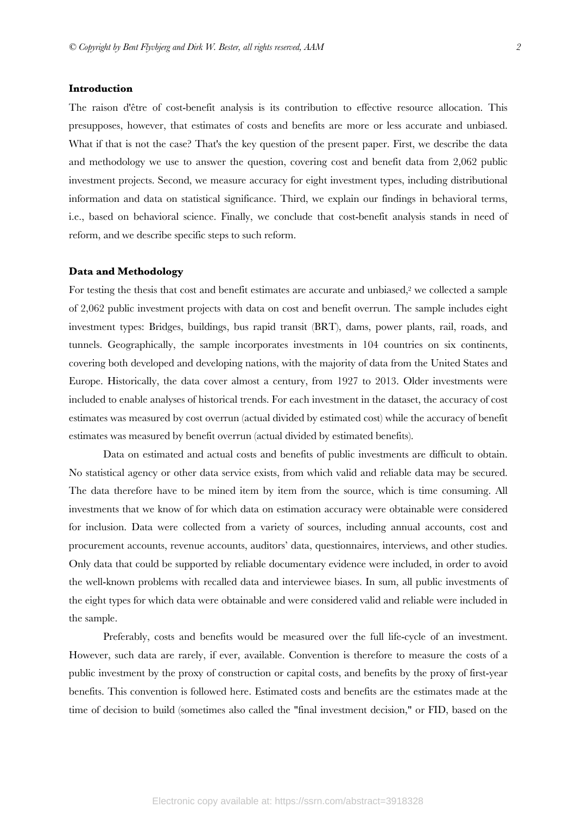# **Introduction**

The raison d'être of cost-benefit analysis is its contribution to effective resource allocation. This presupposes, however, that estimates of costs and benefits are more or less accurate and unbiased. What if that is not the case? That's the key question of the present paper. First, we describe the data and methodology we use to answer the question, covering cost and benefit data from 2,062 public investment projects. Second, we measure accuracy for eight investment types, including distributional information and data on statistical significance. Third, we explain our findings in behavioral terms, i.e., based on behavioral science. Finally, we conclude that cost-benefit analysis stands in need of reform, and we describe specific steps to such reform.

## **Data and Methodology**

For testing the thesis that cost and benefit estimates are accurate and unbiased,<sup>2</sup> we collected a sample of 2,062 public investment projects with data on cost and benefit overrun. The sample includes eight investment types: Bridges, buildings, bus rapid transit (BRT), dams, power plants, rail, roads, and tunnels. Geographically, the sample incorporates investments in 104 countries on six continents, covering both developed and developing nations, with the majority of data from the United States and Europe. Historically, the data cover almost a century, from 1927 to 2013. Older investments were included to enable analyses of historical trends. For each investment in the dataset, the accuracy of cost estimates was measured by cost overrun (actual divided by estimated cost) while the accuracy of benefit estimates was measured by benefit overrun (actual divided by estimated benefits).

Data on estimated and actual costs and benefits of public investments are difficult to obtain. No statistical agency or other data service exists, from which valid and reliable data may be secured. The data therefore have to be mined item by item from the source, which is time consuming. All investments that we know of for which data on estimation accuracy were obtainable were considered for inclusion. Data were collected from a variety of sources, including annual accounts, cost and procurement accounts, revenue accounts, auditors' data, questionnaires, interviews, and other studies. Only data that could be supported by reliable documentary evidence were included, in order to avoid the well-known problems with recalled data and interviewee biases. In sum, all public investments of the eight types for which data were obtainable and were considered valid and reliable were included in the sample.

Preferably, costs and benefits would be measured over the full life-cycle of an investment. However, such data are rarely, if ever, available. Convention is therefore to measure the costs of a public investment by the proxy of construction or capital costs, and benefits by the proxy of first-year benefits. This convention is followed here. Estimated costs and benefits are the estimates made at the time of decision to build (sometimes also called the "final investment decision," or FID, based on the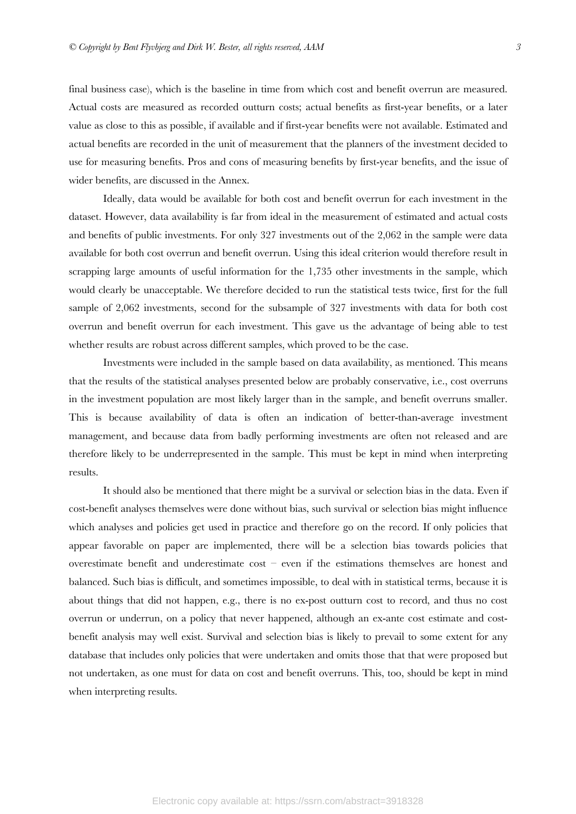final business case), which is the baseline in time from which cost and benefit overrun are measured. Actual costs are measured as recorded outturn costs; actual benefits as first-year benefits, or a later value as close to this as possible, if available and if first-year benefits were not available. Estimated and actual benefits are recorded in the unit of measurement that the planners of the investment decided to use for measuring benefits. Pros and cons of measuring benefits by first-year benefits, and the issue of wider benefits, are discussed in the Annex.

Ideally, data would be available for both cost and benefit overrun for each investment in the dataset. However, data availability is far from ideal in the measurement of estimated and actual costs and benefits of public investments. For only 327 investments out of the 2,062 in the sample were data available for both cost overrun and benefit overrun. Using this ideal criterion would therefore result in scrapping large amounts of useful information for the 1,735 other investments in the sample, which would clearly be unacceptable. We therefore decided to run the statistical tests twice, first for the full sample of 2,062 investments, second for the subsample of 327 investments with data for both cost overrun and benefit overrun for each investment. This gave us the advantage of being able to test whether results are robust across different samples, which proved to be the case.

Investments were included in the sample based on data availability, as mentioned. This means that the results of the statistical analyses presented below are probably conservative, i.e., cost overruns in the investment population are most likely larger than in the sample, and benefit overruns smaller. This is because availability of data is often an indication of better-than-average investment management, and because data from badly performing investments are often not released and are therefore likely to be underrepresented in the sample. This must be kept in mind when interpreting results.

It should also be mentioned that there might be a survival or selection bias in the data. Even if cost-benefit analyses themselves were done without bias, such survival or selection bias might influence which analyses and policies get used in practice and therefore go on the record. If only policies that appear favorable on paper are implemented, there will be a selection bias towards policies that overestimate benefit and underestimate cost – even if the estimations themselves are honest and balanced. Such bias is difficult, and sometimes impossible, to deal with in statistical terms, because it is about things that did not happen, e.g., there is no ex-post outturn cost to record, and thus no cost overrun or underrun, on a policy that never happened, although an ex-ante cost estimate and costbenefit analysis may well exist. Survival and selection bias is likely to prevail to some extent for any database that includes only policies that were undertaken and omits those that that were proposed but not undertaken, as one must for data on cost and benefit overruns. This, too, should be kept in mind when interpreting results.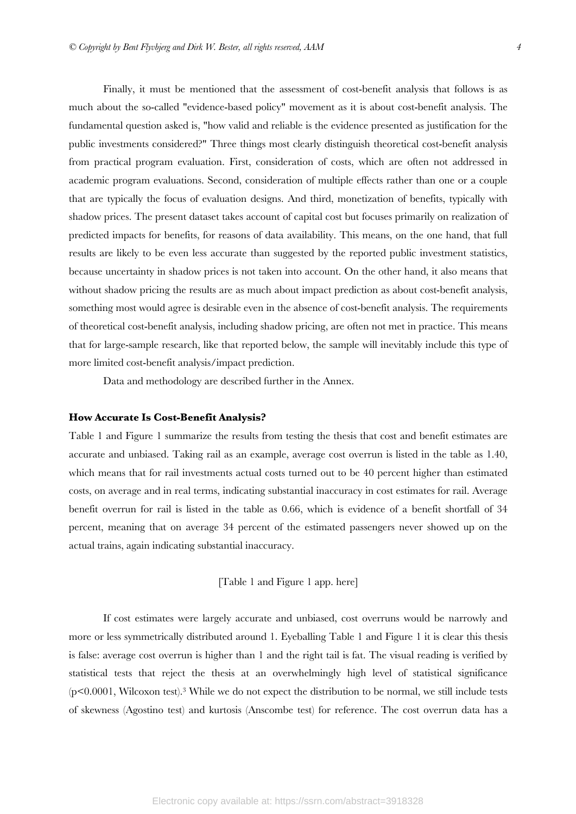Finally, it must be mentioned that the assessment of cost-benefit analysis that follows is as much about the so-called "evidence-based policy" movement as it is about cost-benefit analysis. The fundamental question asked is, "how valid and reliable is the evidence presented as justification for the public investments considered?" Three things most clearly distinguish theoretical cost-benefit analysis from practical program evaluation. First, consideration of costs, which are often not addressed in academic program evaluations. Second, consideration of multiple effects rather than one or a couple that are typically the focus of evaluation designs. And third, monetization of benefits, typically with shadow prices. The present dataset takes account of capital cost but focuses primarily on realization of predicted impacts for benefits, for reasons of data availability. This means, on the one hand, that full results are likely to be even less accurate than suggested by the reported public investment statistics, because uncertainty in shadow prices is not taken into account. On the other hand, it also means that without shadow pricing the results are as much about impact prediction as about cost-benefit analysis, something most would agree is desirable even in the absence of cost-benefit analysis. The requirements of theoretical cost-benefit analysis, including shadow pricing, are often not met in practice. This means that for large-sample research, like that reported below, the sample will inevitably include this type of more limited cost-benefit analysis/impact prediction.

Data and methodology are described further in the Annex.

#### **How Accurate Is Cost-Benefit Analysis?**

Table 1 and Figure 1 summarize the results from testing the thesis that cost and benefit estimates are accurate and unbiased. Taking rail as an example, average cost overrun is listed in the table as 1.40, which means that for rail investments actual costs turned out to be 40 percent higher than estimated costs, on average and in real terms, indicating substantial inaccuracy in cost estimates for rail. Average benefit overrun for rail is listed in the table as 0.66, which is evidence of a benefit shortfall of 34 percent, meaning that on average 34 percent of the estimated passengers never showed up on the actual trains, again indicating substantial inaccuracy.

[Table 1 and Figure 1 app. here]

If cost estimates were largely accurate and unbiased, cost overruns would be narrowly and more or less symmetrically distributed around 1. Eyeballing Table 1 and Figure 1 it is clear this thesis is false: average cost overrun is higher than 1 and the right tail is fat. The visual reading is verified by statistical tests that reject the thesis at an overwhelmingly high level of statistical significance (p<0.0001, Wilcoxon test).3 While we do not expect the distribution to be normal, we still include tests of skewness (Agostino test) and kurtosis (Anscombe test) for reference. The cost overrun data has a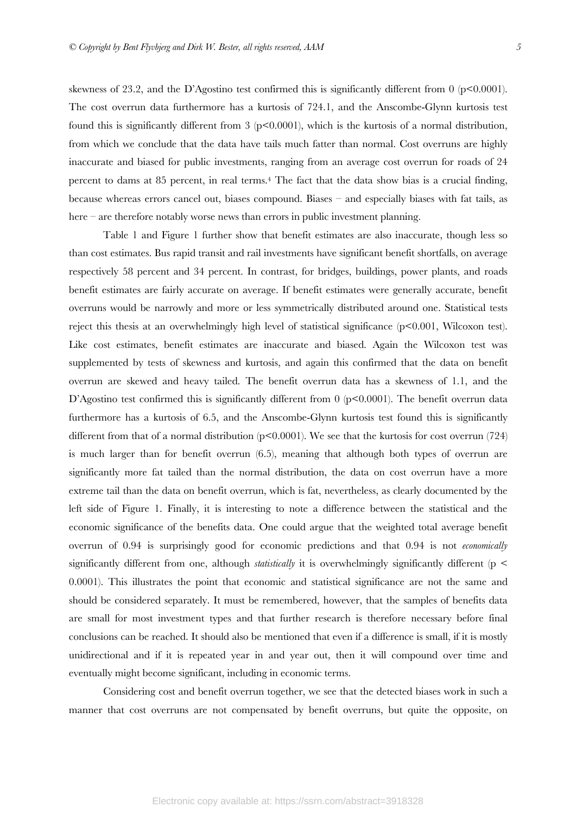skewness of 23.2, and the D'Agostino test confirmed this is significantly different from 0 (p<0.0001). The cost overrun data furthermore has a kurtosis of 724.1, and the Anscombe-Glynn kurtosis test found this is significantly different from 3 ( $p<0.0001$ ), which is the kurtosis of a normal distribution, from which we conclude that the data have tails much fatter than normal. Cost overruns are highly inaccurate and biased for public investments, ranging from an average cost overrun for roads of 24 percent to dams at 85 percent, in real terms.4 The fact that the data show bias is a crucial finding, because whereas errors cancel out, biases compound. Biases – and especially biases with fat tails, as here – are therefore notably worse news than errors in public investment planning.

Table 1 and Figure 1 further show that benefit estimates are also inaccurate, though less so than cost estimates. Bus rapid transit and rail investments have significant benefit shortfalls, on average respectively 58 percent and 34 percent. In contrast, for bridges, buildings, power plants, and roads benefit estimates are fairly accurate on average. If benefit estimates were generally accurate, benefit overruns would be narrowly and more or less symmetrically distributed around one. Statistical tests reject this thesis at an overwhelmingly high level of statistical significance (p<0.001, Wilcoxon test). Like cost estimates, benefit estimates are inaccurate and biased. Again the Wilcoxon test was supplemented by tests of skewness and kurtosis, and again this confirmed that the data on benefit overrun are skewed and heavy tailed. The benefit overrun data has a skewness of 1.1, and the D'Agostino test confirmed this is significantly different from  $0$  ( $p<0.0001$ ). The benefit overrun data furthermore has a kurtosis of 6.5, and the Anscombe-Glynn kurtosis test found this is significantly different from that of a normal distribution ( $p<0.0001$ ). We see that the kurtosis for cost overrun (724) is much larger than for benefit overrun (6.5), meaning that although both types of overrun are significantly more fat tailed than the normal distribution, the data on cost overrun have a more extreme tail than the data on benefit overrun, which is fat, nevertheless, as clearly documented by the left side of Figure 1. Finally, it is interesting to note a difference between the statistical and the economic significance of the benefits data. One could argue that the weighted total average benefit overrun of 0.94 is surprisingly good for economic predictions and that 0.94 is not *economically* significantly different from one, although *statistically* it is overwhelmingly significantly different (p < 0.0001). This illustrates the point that economic and statistical significance are not the same and should be considered separately. It must be remembered, however, that the samples of benefits data are small for most investment types and that further research is therefore necessary before final conclusions can be reached. It should also be mentioned that even if a difference is small, if it is mostly unidirectional and if it is repeated year in and year out, then it will compound over time and eventually might become significant, including in economic terms.

Considering cost and benefit overrun together, we see that the detected biases work in such a manner that cost overruns are not compensated by benefit overruns, but quite the opposite, on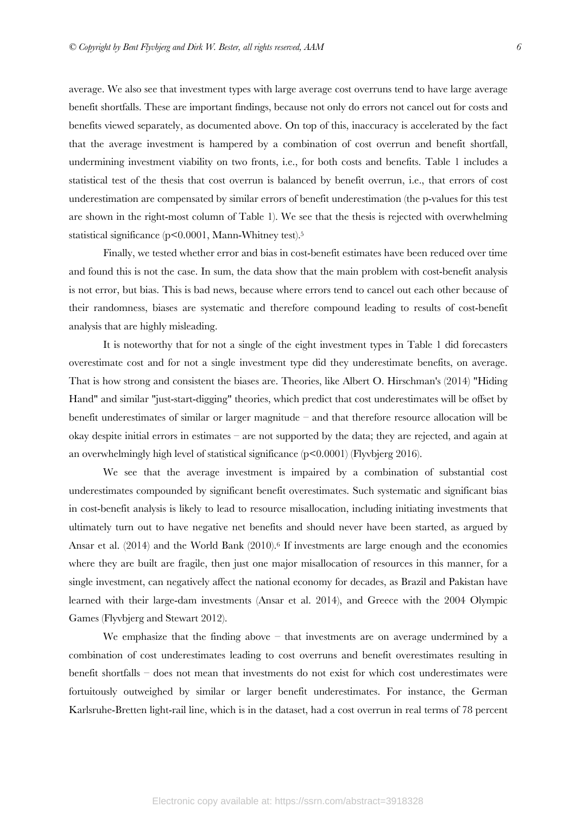average. We also see that investment types with large average cost overruns tend to have large average benefit shortfalls. These are important findings, because not only do errors not cancel out for costs and benefits viewed separately, as documented above. On top of this, inaccuracy is accelerated by the fact that the average investment is hampered by a combination of cost overrun and benefit shortfall, undermining investment viability on two fronts, i.e., for both costs and benefits. Table 1 includes a statistical test of the thesis that cost overrun is balanced by benefit overrun, i.e., that errors of cost underestimation are compensated by similar errors of benefit underestimation (the p-values for this test are shown in the right-most column of Table 1). We see that the thesis is rejected with overwhelming statistical significance (p<0.0001, Mann-Whitney test).5

Finally, we tested whether error and bias in cost-benefit estimates have been reduced over time and found this is not the case. In sum, the data show that the main problem with cost-benefit analysis is not error, but bias. This is bad news, because where errors tend to cancel out each other because of their randomness, biases are systematic and therefore compound leading to results of cost-benefit analysis that are highly misleading.

It is noteworthy that for not a single of the eight investment types in Table 1 did forecasters overestimate cost and for not a single investment type did they underestimate benefits, on average. That is how strong and consistent the biases are. Theories, like Albert O. Hirschman's (2014) "Hiding Hand" and similar "just-start-digging" theories, which predict that cost underestimates will be offset by benefit underestimates of similar or larger magnitude – and that therefore resource allocation will be okay despite initial errors in estimates – are not supported by the data; they are rejected, and again at an overwhelmingly high level of statistical significance (p<0.0001) (Flyvbjerg 2016).

We see that the average investment is impaired by a combination of substantial cost underestimates compounded by significant benefit overestimates. Such systematic and significant bias in cost-benefit analysis is likely to lead to resource misallocation, including initiating investments that ultimately turn out to have negative net benefits and should never have been started, as argued by Ansar et al. (2014) and the World Bank (2010).<sup>6</sup> If investments are large enough and the economies where they are built are fragile, then just one major misallocation of resources in this manner, for a single investment, can negatively affect the national economy for decades, as Brazil and Pakistan have learned with their large-dam investments (Ansar et al. 2014), and Greece with the 2004 Olympic Games (Flyvbjerg and Stewart 2012).

We emphasize that the finding above – that investments are on average undermined by a combination of cost underestimates leading to cost overruns and benefit overestimates resulting in benefit shortfalls – does not mean that investments do not exist for which cost underestimates were fortuitously outweighed by similar or larger benefit underestimates. For instance, the German Karlsruhe-Bretten light-rail line, which is in the dataset, had a cost overrun in real terms of 78 percent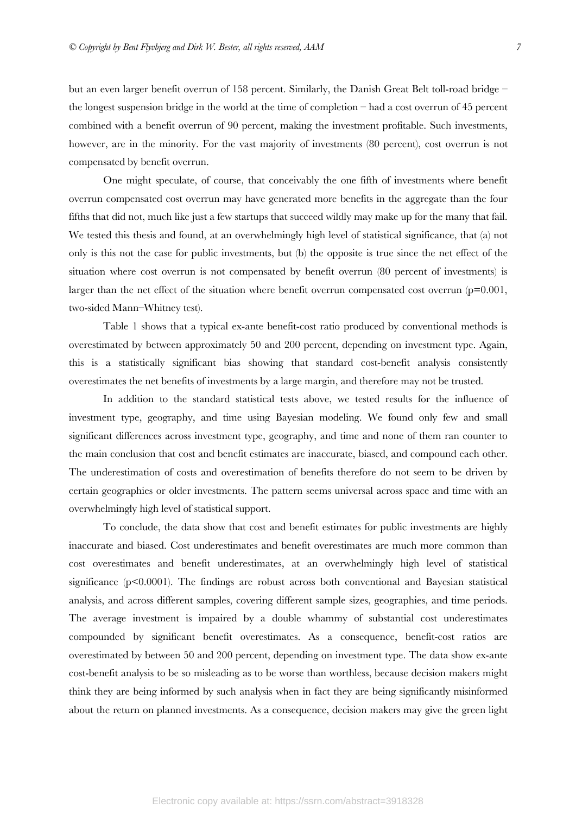but an even larger benefit overrun of 158 percent. Similarly, the Danish Great Belt toll-road bridge – the longest suspension bridge in the world at the time of completion – had a cost overrun of 45 percent combined with a benefit overrun of 90 percent, making the investment profitable. Such investments, however, are in the minority. For the vast majority of investments (80 percent), cost overrun is not compensated by benefit overrun.

One might speculate, of course, that conceivably the one fifth of investments where benefit overrun compensated cost overrun may have generated more benefits in the aggregate than the four fifths that did not, much like just a few startups that succeed wildly may make up for the many that fail. We tested this thesis and found, at an overwhelmingly high level of statistical significance, that (a) not only is this not the case for public investments, but (b) the opposite is true since the net effect of the situation where cost overrun is not compensated by benefit overrun (80 percent of investments) is larger than the net effect of the situation where benefit overrun compensated cost overrun  $(p=0.001,$ two-sided Mann–Whitney test).

Table 1 shows that a typical ex-ante benefit-cost ratio produced by conventional methods is overestimated by between approximately 50 and 200 percent, depending on investment type. Again, this is a statistically significant bias showing that standard cost-benefit analysis consistently overestimates the net benefits of investments by a large margin, and therefore may not be trusted.

In addition to the standard statistical tests above, we tested results for the influence of investment type, geography, and time using Bayesian modeling. We found only few and small significant differences across investment type, geography, and time and none of them ran counter to the main conclusion that cost and benefit estimates are inaccurate, biased, and compound each other. The underestimation of costs and overestimation of benefits therefore do not seem to be driven by certain geographies or older investments. The pattern seems universal across space and time with an overwhelmingly high level of statistical support.

To conclude, the data show that cost and benefit estimates for public investments are highly inaccurate and biased. Cost underestimates and benefit overestimates are much more common than cost overestimates and benefit underestimates, at an overwhelmingly high level of statistical significance  $(p<0.0001)$ . The findings are robust across both conventional and Bayesian statistical analysis, and across different samples, covering different sample sizes, geographies, and time periods. The average investment is impaired by a double whammy of substantial cost underestimates compounded by significant benefit overestimates. As a consequence, benefit-cost ratios are overestimated by between 50 and 200 percent, depending on investment type. The data show ex-ante cost-benefit analysis to be so misleading as to be worse than worthless, because decision makers might think they are being informed by such analysis when in fact they are being significantly misinformed about the return on planned investments. As a consequence, decision makers may give the green light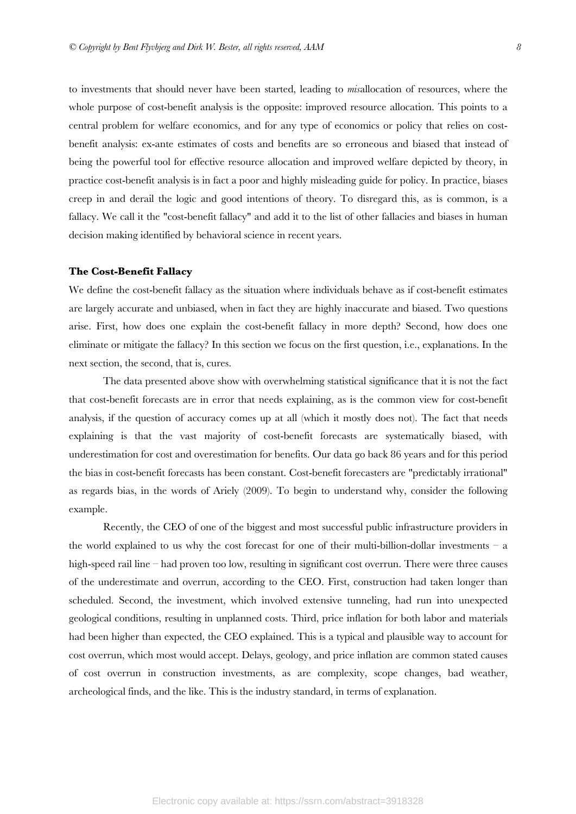to investments that should never have been started, leading to *mis*allocation of resources, where the whole purpose of cost-benefit analysis is the opposite: improved resource allocation. This points to a central problem for welfare economics, and for any type of economics or policy that relies on costbenefit analysis: ex-ante estimates of costs and benefits are so erroneous and biased that instead of being the powerful tool for effective resource allocation and improved welfare depicted by theory, in practice cost-benefit analysis is in fact a poor and highly misleading guide for policy. In practice, biases creep in and derail the logic and good intentions of theory. To disregard this, as is common, is a fallacy. We call it the "cost-benefit fallacy" and add it to the list of other fallacies and biases in human decision making identified by behavioral science in recent years.

# **The Cost-Benefit Fallacy**

We define the cost-benefit fallacy as the situation where individuals behave as if cost-benefit estimates are largely accurate and unbiased, when in fact they are highly inaccurate and biased. Two questions arise. First, how does one explain the cost-benefit fallacy in more depth? Second, how does one eliminate or mitigate the fallacy? In this section we focus on the first question, i.e., explanations. In the next section, the second, that is, cures.

The data presented above show with overwhelming statistical significance that it is not the fact that cost-benefit forecasts are in error that needs explaining, as is the common view for cost-benefit analysis, if the question of accuracy comes up at all (which it mostly does not). The fact that needs explaining is that the vast majority of cost-benefit forecasts are systematically biased, with underestimation for cost and overestimation for benefits. Our data go back 86 years and for this period the bias in cost-benefit forecasts has been constant. Cost-benefit forecasters are "predictably irrational" as regards bias, in the words of Ariely (2009). To begin to understand why, consider the following example.

Recently, the CEO of one of the biggest and most successful public infrastructure providers in the world explained to us why the cost forecast for one of their multi-billion-dollar investments – a high-speed rail line – had proven too low, resulting in significant cost overrun. There were three causes of the underestimate and overrun, according to the CEO. First, construction had taken longer than scheduled. Second, the investment, which involved extensive tunneling, had run into unexpected geological conditions, resulting in unplanned costs. Third, price inflation for both labor and materials had been higher than expected, the CEO explained. This is a typical and plausible way to account for cost overrun, which most would accept. Delays, geology, and price inflation are common stated causes of cost overrun in construction investments, as are complexity, scope changes, bad weather, archeological finds, and the like. This is the industry standard, in terms of explanation.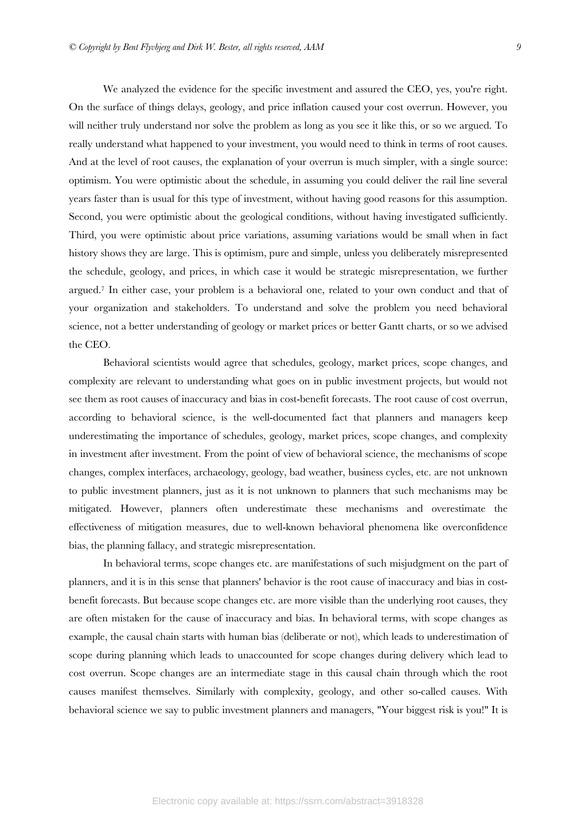We analyzed the evidence for the specific investment and assured the CEO, yes, you're right. On the surface of things delays, geology, and price inflation caused your cost overrun. However, you will neither truly understand nor solve the problem as long as you see it like this, or so we argued. To really understand what happened to your investment, you would need to think in terms of root causes. And at the level of root causes, the explanation of your overrun is much simpler, with a single source: optimism. You were optimistic about the schedule, in assuming you could deliver the rail line several years faster than is usual for this type of investment, without having good reasons for this assumption. Second, you were optimistic about the geological conditions, without having investigated sufficiently. Third, you were optimistic about price variations, assuming variations would be small when in fact history shows they are large. This is optimism, pure and simple, unless you deliberately misrepresented the schedule, geology, and prices, in which case it would be strategic misrepresentation, we further argued.7 In either case, your problem is a behavioral one, related to your own conduct and that of your organization and stakeholders. To understand and solve the problem you need behavioral science, not a better understanding of geology or market prices or better Gantt charts, or so we advised the CEO.

Behavioral scientists would agree that schedules, geology, market prices, scope changes, and complexity are relevant to understanding what goes on in public investment projects, but would not see them as root causes of inaccuracy and bias in cost-benefit forecasts. The root cause of cost overrun, according to behavioral science, is the well-documented fact that planners and managers keep underestimating the importance of schedules, geology, market prices, scope changes, and complexity in investment after investment. From the point of view of behavioral science, the mechanisms of scope changes, complex interfaces, archaeology, geology, bad weather, business cycles, etc. are not unknown to public investment planners, just as it is not unknown to planners that such mechanisms may be mitigated. However, planners often underestimate these mechanisms and overestimate the effectiveness of mitigation measures, due to well-known behavioral phenomena like overconfidence bias, the planning fallacy, and strategic misrepresentation.

In behavioral terms, scope changes etc. are manifestations of such misjudgment on the part of planners, and it is in this sense that planners' behavior is the root cause of inaccuracy and bias in costbenefit forecasts. But because scope changes etc. are more visible than the underlying root causes, they are often mistaken for the cause of inaccuracy and bias. In behavioral terms, with scope changes as example, the causal chain starts with human bias (deliberate or not), which leads to underestimation of scope during planning which leads to unaccounted for scope changes during delivery which lead to cost overrun. Scope changes are an intermediate stage in this causal chain through which the root causes manifest themselves. Similarly with complexity, geology, and other so-called causes. With behavioral science we say to public investment planners and managers, "Your biggest risk is you!" It is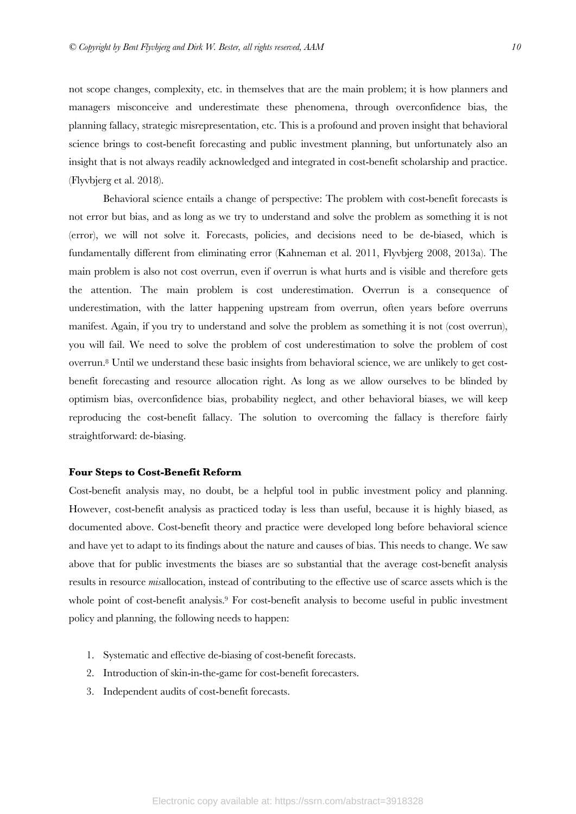not scope changes, complexity, etc. in themselves that are the main problem; it is how planners and managers misconceive and underestimate these phenomena, through overconfidence bias, the planning fallacy, strategic misrepresentation, etc. This is a profound and proven insight that behavioral science brings to cost-benefit forecasting and public investment planning, but unfortunately also an insight that is not always readily acknowledged and integrated in cost-benefit scholarship and practice. (Flyvbjerg et al. 2018).

Behavioral science entails a change of perspective: The problem with cost-benefit forecasts is not error but bias, and as long as we try to understand and solve the problem as something it is not (error), we will not solve it. Forecasts, policies, and decisions need to be de-biased, which is fundamentally different from eliminating error (Kahneman et al. 2011, Flyvbjerg 2008, 2013a). The main problem is also not cost overrun, even if overrun is what hurts and is visible and therefore gets the attention. The main problem is cost underestimation. Overrun is a consequence of underestimation, with the latter happening upstream from overrun, often years before overruns manifest. Again, if you try to understand and solve the problem as something it is not (cost overrun), you will fail. We need to solve the problem of cost underestimation to solve the problem of cost overrun.8 Until we understand these basic insights from behavioral science, we are unlikely to get costbenefit forecasting and resource allocation right. As long as we allow ourselves to be blinded by optimism bias, overconfidence bias, probability neglect, and other behavioral biases, we will keep reproducing the cost-benefit fallacy. The solution to overcoming the fallacy is therefore fairly straightforward: de-biasing.

## **Four Steps to Cost-Benefit Reform**

Cost-benefit analysis may, no doubt, be a helpful tool in public investment policy and planning. However, cost-benefit analysis as practiced today is less than useful, because it is highly biased, as documented above. Cost-benefit theory and practice were developed long before behavioral science and have yet to adapt to its findings about the nature and causes of bias. This needs to change. We saw above that for public investments the biases are so substantial that the average cost-benefit analysis results in resource *mis*allocation, instead of contributing to the effective use of scarce assets which is the whole point of cost-benefit analysis.<sup>9</sup> For cost-benefit analysis to become useful in public investment policy and planning, the following needs to happen:

- 1. Systematic and effective de-biasing of cost-benefit forecasts.
- 2. Introduction of skin-in-the-game for cost-benefit forecasters.
- 3. Independent audits of cost-benefit forecasts.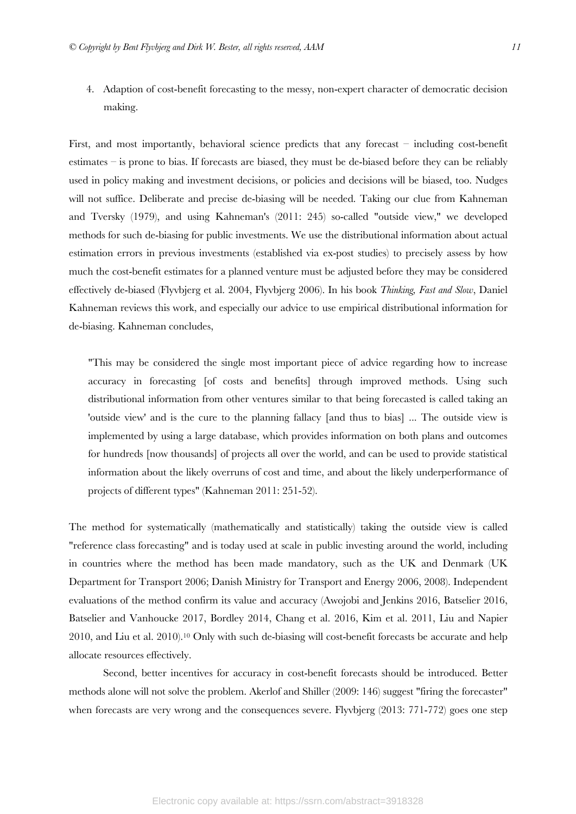4. Adaption of cost-benefit forecasting to the messy, non-expert character of democratic decision making.

First, and most importantly, behavioral science predicts that any forecast – including cost-benefit estimates – is prone to bias. If forecasts are biased, they must be de-biased before they can be reliably used in policy making and investment decisions, or policies and decisions will be biased, too. Nudges will not suffice. Deliberate and precise de-biasing will be needed. Taking our clue from Kahneman and Tversky (1979), and using Kahneman's (2011: 245) so-called "outside view," we developed methods for such de-biasing for public investments. We use the distributional information about actual estimation errors in previous investments (established via ex-post studies) to precisely assess by how much the cost-benefit estimates for a planned venture must be adjusted before they may be considered effectively de-biased (Flyvbjerg et al. 2004, Flyvbjerg 2006). In his book *Thinking, Fast and Slow*, Daniel Kahneman reviews this work, and especially our advice to use empirical distributional information for de-biasing. Kahneman concludes,

"This may be considered the single most important piece of advice regarding how to increase accuracy in forecasting [of costs and benefits] through improved methods. Using such distributional information from other ventures similar to that being forecasted is called taking an 'outside view' and is the cure to the planning fallacy [and thus to bias] ... The outside view is implemented by using a large database, which provides information on both plans and outcomes for hundreds [now thousands] of projects all over the world, and can be used to provide statistical information about the likely overruns of cost and time, and about the likely underperformance of projects of different types" (Kahneman 2011: 251-52).

The method for systematically (mathematically and statistically) taking the outside view is called "reference class forecasting" and is today used at scale in public investing around the world, including in countries where the method has been made mandatory, such as the UK and Denmark (UK Department for Transport 2006; Danish Ministry for Transport and Energy 2006, 2008). Independent evaluations of the method confirm its value and accuracy (Awojobi and Jenkins 2016, Batselier 2016, Batselier and Vanhoucke 2017, Bordley 2014, Chang et al. 2016, Kim et al. 2011, Liu and Napier 2010, and Liu et al. 2010).10 Only with such de-biasing will cost-benefit forecasts be accurate and help allocate resources effectively.

Second, better incentives for accuracy in cost-benefit forecasts should be introduced. Better methods alone will not solve the problem. Akerlof and Shiller (2009: 146) suggest "firing the forecaster" when forecasts are very wrong and the consequences severe. Flyvbjerg (2013: 771-772) goes one step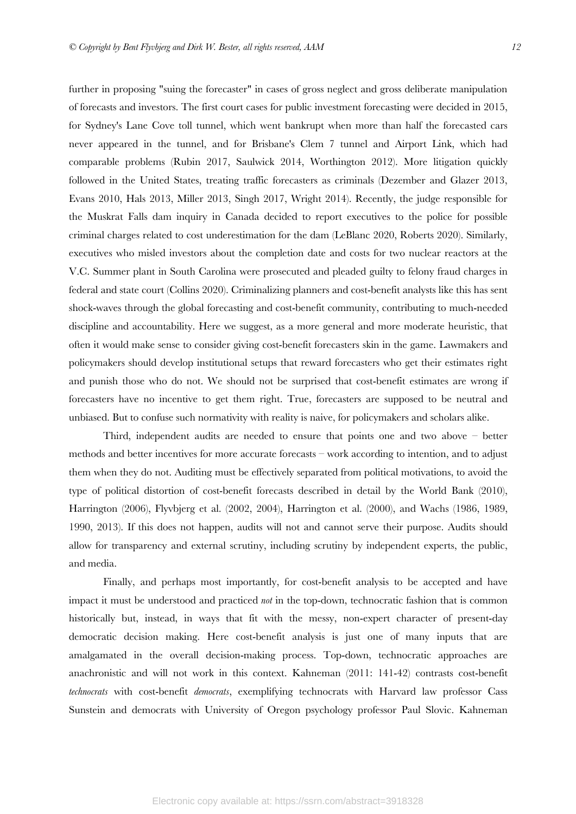further in proposing "suing the forecaster" in cases of gross neglect and gross deliberate manipulation of forecasts and investors. The first court cases for public investment forecasting were decided in 2015, for Sydney's Lane Cove toll tunnel, which went bankrupt when more than half the forecasted cars never appeared in the tunnel, and for Brisbane's Clem 7 tunnel and Airport Link, which had comparable problems (Rubin 2017, Saulwick 2014, Worthington 2012). More litigation quickly followed in the United States, treating traffic forecasters as criminals (Dezember and Glazer 2013, Evans 2010, Hals 2013, Miller 2013, Singh 2017, Wright 2014). Recently, the judge responsible for the Muskrat Falls dam inquiry in Canada decided to report executives to the police for possible criminal charges related to cost underestimation for the dam (LeBlanc 2020, Roberts 2020). Similarly, executives who misled investors about the completion date and costs for two nuclear reactors at the V.C. Summer plant in South Carolina were prosecuted and pleaded guilty to felony fraud charges in federal and state court (Collins 2020). Criminalizing planners and cost-benefit analysts like this has sent shock-waves through the global forecasting and cost-benefit community, contributing to much-needed discipline and accountability. Here we suggest, as a more general and more moderate heuristic, that often it would make sense to consider giving cost-benefit forecasters skin in the game. Lawmakers and policymakers should develop institutional setups that reward forecasters who get their estimates right and punish those who do not. We should not be surprised that cost-benefit estimates are wrong if forecasters have no incentive to get them right. True, forecasters are supposed to be neutral and unbiased. But to confuse such normativity with reality is naive, for policymakers and scholars alike.

Third, independent audits are needed to ensure that points one and two above – better methods and better incentives for more accurate forecasts – work according to intention, and to adjust them when they do not. Auditing must be effectively separated from political motivations, to avoid the type of political distortion of cost-benefit forecasts described in detail by the World Bank (2010), Harrington (2006), Flyvbjerg et al. (2002, 2004), Harrington et al. (2000), and Wachs (1986, 1989, 1990, 2013). If this does not happen, audits will not and cannot serve their purpose. Audits should allow for transparency and external scrutiny, including scrutiny by independent experts, the public, and media.

Finally, and perhaps most importantly, for cost-benefit analysis to be accepted and have impact it must be understood and practiced *not* in the top-down, technocratic fashion that is common historically but, instead, in ways that fit with the messy, non-expert character of present-day democratic decision making. Here cost-benefit analysis is just one of many inputs that are amalgamated in the overall decision-making process. Top-down, technocratic approaches are anachronistic and will not work in this context. Kahneman (2011: 141-42) contrasts cost-benefit *technocrats* with cost-benefit *democrats*, exemplifying technocrats with Harvard law professor Cass Sunstein and democrats with University of Oregon psychology professor Paul Slovic. Kahneman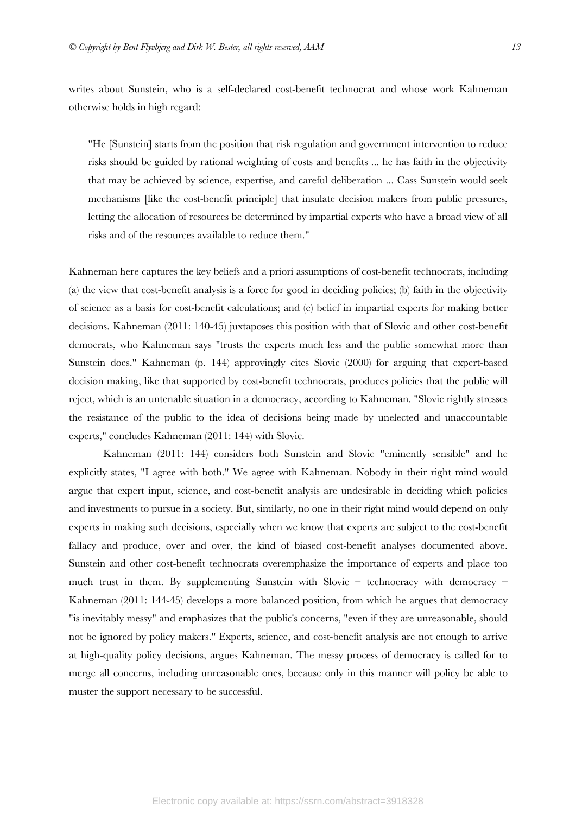writes about Sunstein, who is a self-declared cost-benefit technocrat and whose work Kahneman otherwise holds in high regard:

"He [Sunstein] starts from the position that risk regulation and government intervention to reduce risks should be guided by rational weighting of costs and benefits ... he has faith in the objectivity that may be achieved by science, expertise, and careful deliberation ... Cass Sunstein would seek mechanisms [like the cost-benefit principle] that insulate decision makers from public pressures, letting the allocation of resources be determined by impartial experts who have a broad view of all risks and of the resources available to reduce them."

Kahneman here captures the key beliefs and a priori assumptions of cost-benefit technocrats, including (a) the view that cost-benefit analysis is a force for good in deciding policies; (b) faith in the objectivity of science as a basis for cost-benefit calculations; and (c) belief in impartial experts for making better decisions. Kahneman (2011: 140-45) juxtaposes this position with that of Slovic and other cost-benefit democrats, who Kahneman says "trusts the experts much less and the public somewhat more than Sunstein does." Kahneman (p. 144) approvingly cites Slovic (2000) for arguing that expert-based decision making, like that supported by cost-benefit technocrats, produces policies that the public will reject, which is an untenable situation in a democracy, according to Kahneman. "Slovic rightly stresses the resistance of the public to the idea of decisions being made by unelected and unaccountable experts," concludes Kahneman (2011: 144) with Slovic.

Kahneman (2011: 144) considers both Sunstein and Slovic "eminently sensible" and he explicitly states, "I agree with both." We agree with Kahneman. Nobody in their right mind would argue that expert input, science, and cost-benefit analysis are undesirable in deciding which policies and investments to pursue in a society. But, similarly, no one in their right mind would depend on only experts in making such decisions, especially when we know that experts are subject to the cost-benefit fallacy and produce, over and over, the kind of biased cost-benefit analyses documented above. Sunstein and other cost-benefit technocrats overemphasize the importance of experts and place too much trust in them. By supplementing Sunstein with Slovic – technocracy with democracy – Kahneman (2011: 144-45) develops a more balanced position, from which he argues that democracy "is inevitably messy" and emphasizes that the public's concerns, "even if they are unreasonable, should not be ignored by policy makers." Experts, science, and cost-benefit analysis are not enough to arrive at high-quality policy decisions, argues Kahneman. The messy process of democracy is called for to merge all concerns, including unreasonable ones, because only in this manner will policy be able to muster the support necessary to be successful.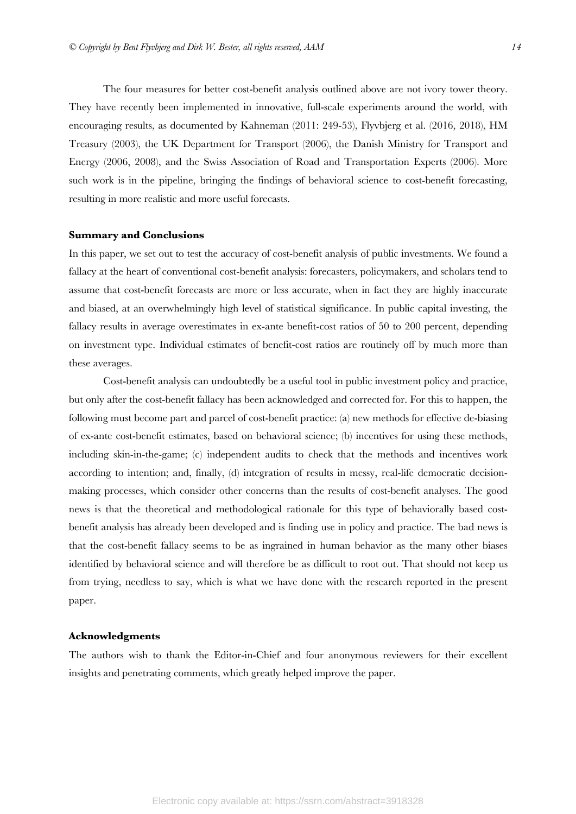The four measures for better cost-benefit analysis outlined above are not ivory tower theory. They have recently been implemented in innovative, full-scale experiments around the world, with encouraging results, as documented by Kahneman (2011: 249-53), Flyvbjerg et al. (2016, 2018), HM Treasury (2003), the UK Department for Transport (2006), the Danish Ministry for Transport and Energy (2006, 2008), and the Swiss Association of Road and Transportation Experts (2006). More such work is in the pipeline, bringing the findings of behavioral science to cost-benefit forecasting, resulting in more realistic and more useful forecasts.

#### **Summary and Conclusions**

In this paper, we set out to test the accuracy of cost-benefit analysis of public investments. We found a fallacy at the heart of conventional cost-benefit analysis: forecasters, policymakers, and scholars tend to assume that cost-benefit forecasts are more or less accurate, when in fact they are highly inaccurate and biased, at an overwhelmingly high level of statistical significance. In public capital investing, the fallacy results in average overestimates in ex-ante benefit-cost ratios of 50 to 200 percent, depending on investment type. Individual estimates of benefit-cost ratios are routinely off by much more than these averages.

Cost-benefit analysis can undoubtedly be a useful tool in public investment policy and practice, but only after the cost-benefit fallacy has been acknowledged and corrected for. For this to happen, the following must become part and parcel of cost-benefit practice: (a) new methods for effective de-biasing of ex-ante cost-benefit estimates, based on behavioral science; (b) incentives for using these methods, including skin-in-the-game; (c) independent audits to check that the methods and incentives work according to intention; and, finally, (d) integration of results in messy, real-life democratic decisionmaking processes, which consider other concerns than the results of cost-benefit analyses. The good news is that the theoretical and methodological rationale for this type of behaviorally based costbenefit analysis has already been developed and is finding use in policy and practice. The bad news is that the cost-benefit fallacy seems to be as ingrained in human behavior as the many other biases identified by behavioral science and will therefore be as difficult to root out. That should not keep us from trying, needless to say, which is what we have done with the research reported in the present paper.

#### **Acknowledgments**

The authors wish to thank the Editor-in-Chief and four anonymous reviewers for their excellent insights and penetrating comments, which greatly helped improve the paper.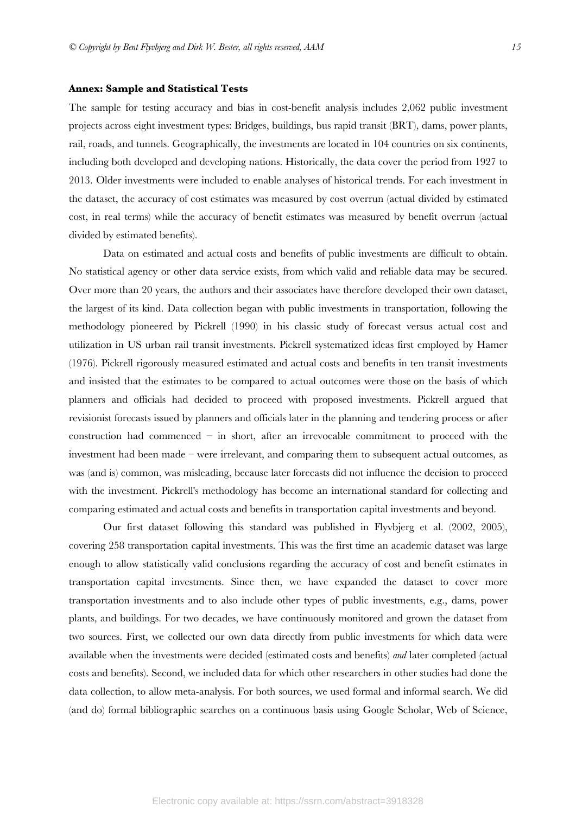# **Annex: Sample and Statistical Tests**

The sample for testing accuracy and bias in cost-benefit analysis includes 2,062 public investment projects across eight investment types: Bridges, buildings, bus rapid transit (BRT), dams, power plants, rail, roads, and tunnels. Geographically, the investments are located in 104 countries on six continents, including both developed and developing nations. Historically, the data cover the period from 1927 to 2013. Older investments were included to enable analyses of historical trends. For each investment in the dataset, the accuracy of cost estimates was measured by cost overrun (actual divided by estimated cost, in real terms) while the accuracy of benefit estimates was measured by benefit overrun (actual divided by estimated benefits).

Data on estimated and actual costs and benefits of public investments are difficult to obtain. No statistical agency or other data service exists, from which valid and reliable data may be secured. Over more than 20 years, the authors and their associates have therefore developed their own dataset, the largest of its kind. Data collection began with public investments in transportation, following the methodology pioneered by Pickrell (1990) in his classic study of forecast versus actual cost and utilization in US urban rail transit investments. Pickrell systematized ideas first employed by Hamer (1976). Pickrell rigorously measured estimated and actual costs and benefits in ten transit investments and insisted that the estimates to be compared to actual outcomes were those on the basis of which planners and officials had decided to proceed with proposed investments. Pickrell argued that revisionist forecasts issued by planners and officials later in the planning and tendering process or after construction had commenced – in short, after an irrevocable commitment to proceed with the investment had been made – were irrelevant, and comparing them to subsequent actual outcomes, as was (and is) common, was misleading, because later forecasts did not influence the decision to proceed with the investment. Pickrell's methodology has become an international standard for collecting and comparing estimated and actual costs and benefits in transportation capital investments and beyond.

Our first dataset following this standard was published in Flyvbjerg et al. (2002, 2005), covering 258 transportation capital investments. This was the first time an academic dataset was large enough to allow statistically valid conclusions regarding the accuracy of cost and benefit estimates in transportation capital investments. Since then, we have expanded the dataset to cover more transportation investments and to also include other types of public investments, e.g., dams, power plants, and buildings. For two decades, we have continuously monitored and grown the dataset from two sources. First, we collected our own data directly from public investments for which data were available when the investments were decided (estimated costs and benefits) *and* later completed (actual costs and benefits). Second, we included data for which other researchers in other studies had done the data collection, to allow meta-analysis. For both sources, we used formal and informal search. We did (and do) formal bibliographic searches on a continuous basis using Google Scholar, Web of Science,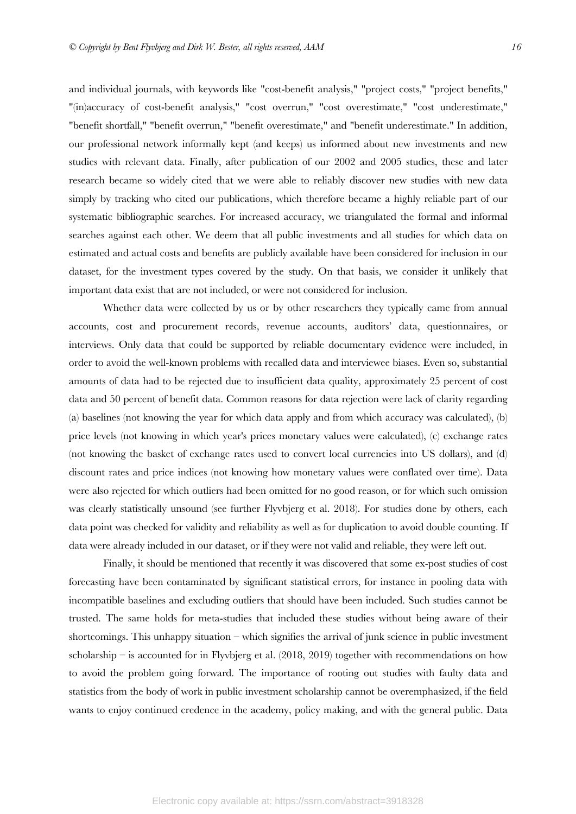and individual journals, with keywords like "cost-benefit analysis," "project costs," "project benefits," "(in)accuracy of cost-benefit analysis," "cost overrun," "cost overestimate," "cost underestimate," "benefit shortfall," "benefit overrun," "benefit overestimate," and "benefit underestimate." In addition, our professional network informally kept (and keeps) us informed about new investments and new studies with relevant data. Finally, after publication of our 2002 and 2005 studies, these and later research became so widely cited that we were able to reliably discover new studies with new data simply by tracking who cited our publications, which therefore became a highly reliable part of our systematic bibliographic searches. For increased accuracy, we triangulated the formal and informal searches against each other. We deem that all public investments and all studies for which data on estimated and actual costs and benefits are publicly available have been considered for inclusion in our dataset, for the investment types covered by the study. On that basis, we consider it unlikely that important data exist that are not included, or were not considered for inclusion.

Whether data were collected by us or by other researchers they typically came from annual accounts, cost and procurement records, revenue accounts, auditors' data, questionnaires, or interviews. Only data that could be supported by reliable documentary evidence were included, in order to avoid the well-known problems with recalled data and interviewee biases. Even so, substantial amounts of data had to be rejected due to insufficient data quality, approximately 25 percent of cost data and 50 percent of benefit data. Common reasons for data rejection were lack of clarity regarding (a) baselines (not knowing the year for which data apply and from which accuracy was calculated), (b) price levels (not knowing in which year's prices monetary values were calculated), (c) exchange rates (not knowing the basket of exchange rates used to convert local currencies into US dollars), and (d) discount rates and price indices (not knowing how monetary values were conflated over time). Data were also rejected for which outliers had been omitted for no good reason, or for which such omission was clearly statistically unsound (see further Flyvbjerg et al. 2018). For studies done by others, each data point was checked for validity and reliability as well as for duplication to avoid double counting. If data were already included in our dataset, or if they were not valid and reliable, they were left out.

Finally, it should be mentioned that recently it was discovered that some ex-post studies of cost forecasting have been contaminated by significant statistical errors, for instance in pooling data with incompatible baselines and excluding outliers that should have been included. Such studies cannot be trusted. The same holds for meta-studies that included these studies without being aware of their shortcomings. This unhappy situation – which signifies the arrival of junk science in public investment scholarship – is accounted for in Flyvbjerg et al.  $(2018, 2019)$  together with recommendations on how to avoid the problem going forward. The importance of rooting out studies with faulty data and statistics from the body of work in public investment scholarship cannot be overemphasized, if the field wants to enjoy continued credence in the academy, policy making, and with the general public. Data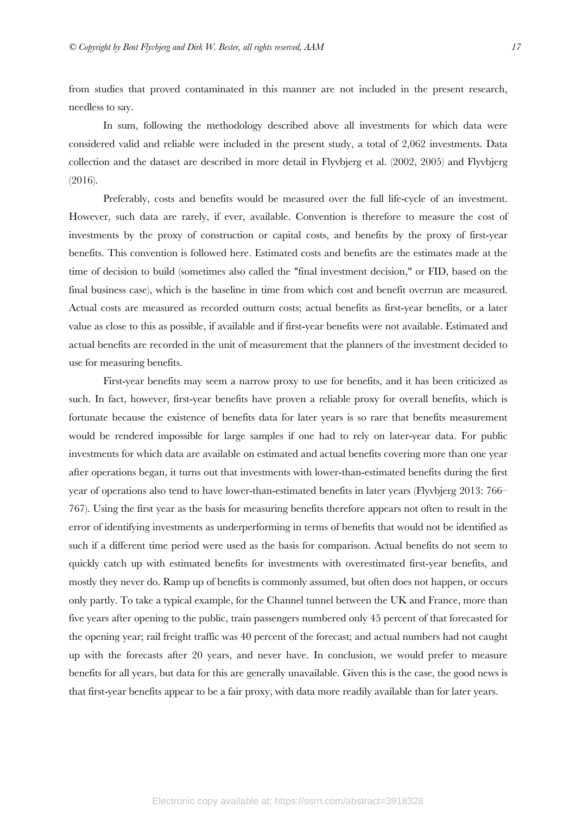from studies that proved contaminated in this manner are not included in the present research, needless to say.

In sum, following the methodology described above all investments for which data were considered valid and reliable were included in the present study, a total of 2,062 investments. Data collection and the dataset are described in more detail in Flyvbjerg et al. (2002, 2005) and Flyvbjerg (2016).

Preferably, costs and benefits would be measured over the full life-cycle of an investment. However, such data are rarely, if ever, available. Convention is therefore to measure the cost of investments by the proxy of construction or capital costs, and benefits by the proxy of first-year benefits. This convention is followed here. Estimated costs and benefits are the estimates made at the time of decision to build (sometimes also called the "final investment decision," or FID, based on the final business case), which is the baseline in time from which cost and benefit overrun are measured. Actual costs are measured as recorded outturn costs; actual benefits as first-year benefits, or a later value as close to this as possible, if available and if first-year benefits were not available. Estimated and actual benefits are recorded in the unit of measurement that the planners of the investment decided to use for measuring benefits.

First-year benefits may seem a narrow proxy to use for benefits, and it has been criticized as such. In fact, however, first-year benefits have proven a reliable proxy for overall benefits, which is fortunate because the existence of benefits data for later years is so rare that benefits measurement would be rendered impossible for large samples if one had to rely on later-year data. For public investments for which data are available on estimated and actual benefits covering more than one year after operations began, it turns out that investments with lower-than-estimated benefits during the first year of operations also tend to have lower-than-estimated benefits in later years (Flyvbjerg 2013: 766– 767). Using the first year as the basis for measuring benefits therefore appears not often to result in the error of identifying investments as underperforming in terms of benefits that would not be identified as such if a different time period were used as the basis for comparison. Actual benefits do not seem to quickly catch up with estimated benefits for investments with overestimated first-year benefits, and mostly they never do. Ramp up of benefits is commonly assumed, but often does not happen, or occurs only partly. To take a typical example, for the Channel tunnel between the UK and France, more than five years after opening to the public, train passengers numbered only 45 percent of that forecasted for the opening year; rail freight traffic was 40 percent of the forecast; and actual numbers had not caught up with the forecasts after 20 years, and never have. In conclusion, we would prefer to measure benefits for all years, but data for this are generally unavailable. Given this is the case, the good news is that first-year benefits appear to be a fair proxy, with data more readily available than for later years.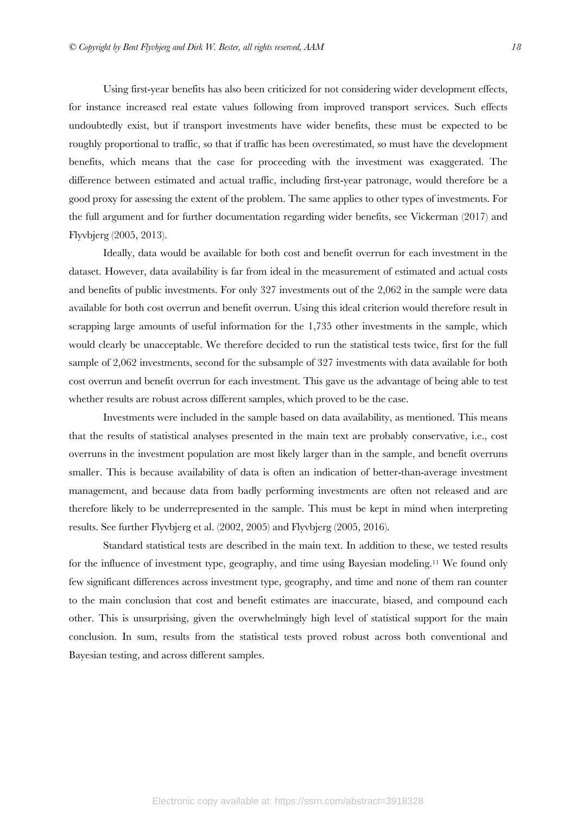Using first-year benefits has also been criticized for not considering wider development effects, for instance increased real estate values following from improved transport services. Such effects undoubtedly exist, but if transport investments have wider benefits, these must be expected to be roughly proportional to traffic, so that if traffic has been overestimated, so must have the development benefits, which means that the case for proceeding with the investment was exaggerated. The difference between estimated and actual traffic, including first-year patronage, would therefore be a good proxy for assessing the extent of the problem. The same applies to other types of investments. For the full argument and for further documentation regarding wider benefits, see Vickerman (2017) and Flyvbjerg (2005, 2013).

Ideally, data would be available for both cost and benefit overrun for each investment in the dataset. However, data availability is far from ideal in the measurement of estimated and actual costs and benefits of public investments. For only 327 investments out of the 2,062 in the sample were data available for both cost overrun and benefit overrun. Using this ideal criterion would therefore result in scrapping large amounts of useful information for the 1,735 other investments in the sample, which would clearly be unacceptable. We therefore decided to run the statistical tests twice, first for the full sample of 2,062 investments, second for the subsample of 327 investments with data available for both cost overrun and benefit overrun for each investment. This gave us the advantage of being able to test whether results are robust across different samples, which proved to be the case.

Investments were included in the sample based on data availability, as mentioned. This means that the results of statistical analyses presented in the main text are probably conservative, i.e., cost overruns in the investment population are most likely larger than in the sample, and benefit overruns smaller. This is because availability of data is often an indication of better-than-average investment management, and because data from badly performing investments are often not released and are therefore likely to be underrepresented in the sample. This must be kept in mind when interpreting results. See further Flyvbjerg et al. (2002, 2005) and Flyvbjerg (2005, 2016).

Standard statistical tests are described in the main text. In addition to these, we tested results for the influence of investment type, geography, and time using Bayesian modeling.11 We found only few significant differences across investment type, geography, and time and none of them ran counter to the main conclusion that cost and benefit estimates are inaccurate, biased, and compound each other. This is unsurprising, given the overwhelmingly high level of statistical support for the main conclusion. In sum, results from the statistical tests proved robust across both conventional and Bayesian testing, and across different samples.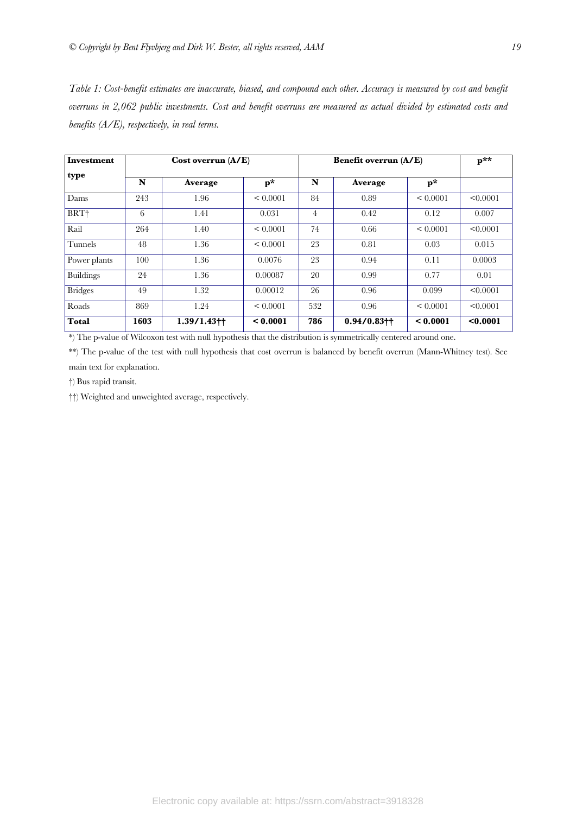*Table 1: Cost-benefit estimates are inaccurate, biased, and compound each other. Accuracy is measured by cost and benefit overruns in 2,062 public investments. Cost and benefit overruns are measured as actual divided by estimated costs and benefits (A/E), respectively, in real terms.*

| Investment       | Cost overrun $(A/E)$ |                           |                | <b>Benefit overrun (A/E)</b> |                           |                | $\mathbf{p}^{\star\star}$ |
|------------------|----------------------|---------------------------|----------------|------------------------------|---------------------------|----------------|---------------------------|
| type             | N                    | Average                   | $\mathbf{p}^*$ | N                            | Average                   | $\mathbf{p}^*$ |                           |
| Dams             | 243                  | 1.96                      | < 0.0001       | 84                           | 0.89                      | < 0.0001       | < 0.0001                  |
| BRT <sup>+</sup> | 6                    | 1.41                      | 0.031          | 4                            | 0.42                      | 0.12           | 0.007                     |
| Rail             | 264                  | 1.40                      | < 0.0001       | 74                           | 0.66                      | < 0.0001       | < 0.0001                  |
| Tunnels          | 48                   | 1.36                      | < 0.0001       | 23                           | 0.81                      | 0.03           | 0.015                     |
| Power plants     | 100                  | 1.36                      | 0.0076         | 23                           | 0.94                      | 0.11           | 0.0003                    |
| Buildings        | 24                   | 1.36                      | 0.00087        | 20                           | 0.99                      | 0.77           | 0.01                      |
| <b>Bridges</b>   | 49                   | 1.32                      | 0.00012        | 26                           | 0.96                      | 0.099          | < 0.0001                  |
| Roads            | 869                  | 1.24                      | < 0.0001       | 532                          | 0.96                      | < 0.0001       | < 0.0001                  |
| <b>Total</b>     | 1603                 | $1.39/1.43$ <sup>++</sup> | < 0.0001       | 786                          | $0.94/0.83$ <sup>++</sup> | < 0.0001       | < 0.0001                  |

\*) The p-value of Wilcoxon test with null hypothesis that the distribution is symmetrically centered around one.

\*\*) The p-value of the test with null hypothesis that cost overrun is balanced by benefit overrun (Mann-Whitney test). See main text for explanation.

†) Bus rapid transit.

††) Weighted and unweighted average, respectively.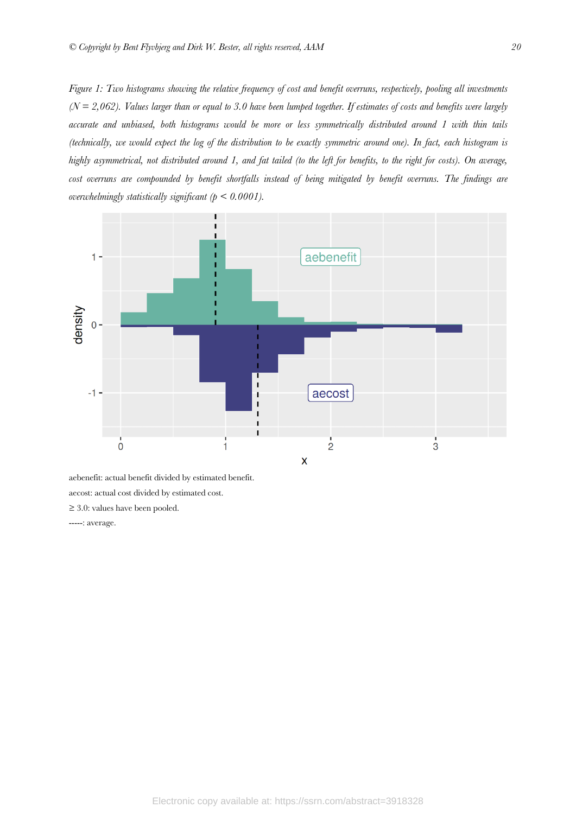*Figure 1: Two histograms showing the relative frequency of cost and benefit overruns, respectively, pooling all investments (N = 2,062). Values larger than or equal to 3.0 have been lumped together. If estimates of costs and benefits were largely accurate and unbiased, both histograms would be more or less symmetrically distributed around 1 with thin tails (technically, we would expect the log of the distribution to be exactly symmetric around one). In fact, each histogram is highly asymmetrical, not distributed around 1, and fat tailed (to the left for benefits, to the right for costs). On average, cost overruns are compounded by benefit shortfalls instead of being mitigated by benefit overruns. The findings are overwhelmingly statistically significant (p < 0.0001).*



aebenefit: actual benefit divided by estimated benefit. aecost: actual cost divided by estimated cost. ≥ 3.0: values have been pooled. -----: average.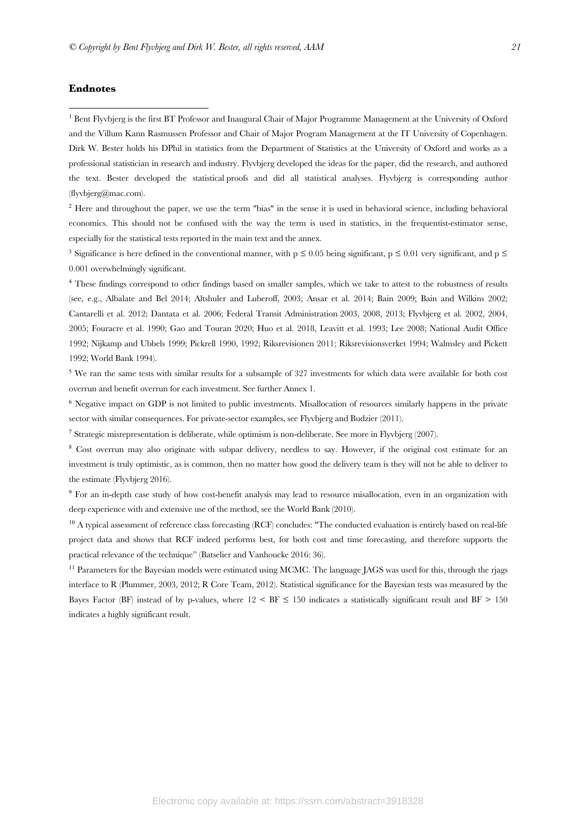# **Endnotes**

<sup>1</sup> Bent Flyvbjerg is the first BT Professor and Inaugural Chair of Major Programme Management at the University of Oxford and the Villum Kann Rasmussen Professor and Chair of Major Program Management at the IT University of Copenhagen. Dirk W. Bester holds his DPhil in statistics from the Department of Statistics at the University of Oxford and works as a professional statistician in research and industry. Flyvbjerg developed the ideas for the paper, did the research, and authored the text. Bester developed the statistical proofs and did all statistical analyses. Flyvbjerg is corresponding author (flyvbjerg@mac.com).

<sup>2</sup> Here and throughout the paper, we use the term "bias" in the sense it is used in behavioral science, including behavioral economics. This should not be confused with the way the term is used in statistics, in the frequentist-estimator sense, especially for the statistical tests reported in the main text and the annex.

<sup>3</sup> Significance is here defined in the conventional manner, with  $p \le 0.05$  being significant,  $p \le 0.01$  very significant, and  $p \le$ 0.001 overwhelmingly significant.

<sup>4</sup> These findings correspond to other findings based on smaller samples, which we take to attest to the robustness of results (see, e.g., Albalate and Bel 2014; Altshuler and Luberoff, 2003; Ansar et al. 2014; Bain 2009; Bain and Wilkins 2002; Cantarelli et al. 2012; Dantata et al. 2006; Federal Transit Administration 2003, 2008, 2013; Flyvbjerg et al. 2002, 2004, 2005; Fouracre et al. 1990; Gao and Touran 2020; Huo et al. 2018, Leavitt et al. 1993; Lee 2008; National Audit Office 1992; Nijkamp and Ubbels 1999; Pickrell 1990, 1992; Riksrevisionen 2011; Riksrevisionsverket 1994; Walmsley and Pickett 1992; World Bank 1994).

<sup>5</sup> We ran the same tests with similar results for a subsample of 327 investments for which data were available for both cost overrun and benefit overrun for each investment. See further Annex 1.

<sup>6</sup> Negative impact on GDP is not limited to public investments. Misallocation of resources similarly happens in the private sector with similar consequences. For private-sector examples, see Flyvbjerg and Budzier (2011).

<sup>7</sup> Strategic misrepresentation is deliberate, while optimism is non-deliberate. See more in Flyvbjerg (2007).

<sup>8</sup> Cost overrun may also originate with subpar delivery, needless to say. However, if the original cost estimate for an investment is truly optimistic, as is common, then no matter how good the delivery team is they will not be able to deliver to the estimate (Flyvbjerg 2016).

<sup>9</sup> For an in-depth case study of how cost-benefit analysis may lead to resource misallocation, even in an organization with deep experience with and extensive use of the method, see the World Bank (2010).

<sup>10</sup> A typical assessment of reference class forecasting (RCF) concludes: "The conducted evaluation is entirely based on real-life project data and shows that RCF indeed performs best, for both cost and time forecasting, and therefore supports the practical relevance of the technique" (Batselier and Vanhoucke 2016: 36).

<sup>11</sup> Parameters for the Bayesian models were estimated using MCMC. The language JAGS was used for this, through the rjags interface to R (Plummer, 2003, 2012; R Core Team, 2012). Statistical significance for the Bayesian tests was measured by the Bayes Factor (BF) instead of by p-values, where  $12 \leq BF \leq 150$  indicates a statistically significant result and BF  $> 150$ indicates a highly significant result.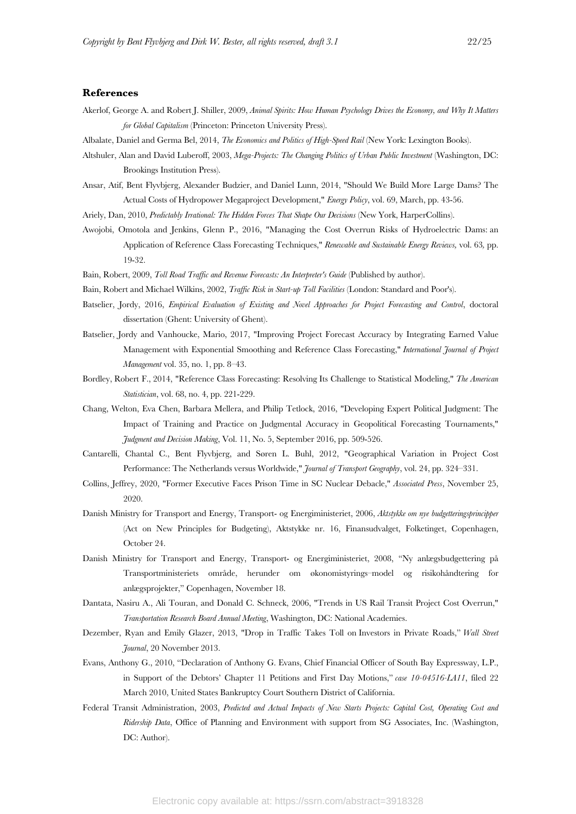## **References**

- Akerlof, George A. and Robert J. Shiller, 2009, *Animal Spirits: How Human Psychology Drives the Economy, and Why It Matters for Global Capitalism* (Princeton: Princeton University Press).
- Albalate, Daniel and Germa Bel, 2014, *The Economics and Politics of High-Speed Rail* (New York: Lexington Books).
- Altshuler, Alan and David Luberoff, 2003, *Mega-Projects: The Changing Politics of Urban Public Investment* (Washington, DC: Brookings Institution Press).
- Ansar, Atif, Bent Flyvbjerg, Alexander Budzier, and Daniel Lunn, 2014, "Should We Build More Large Dams? The Actual Costs of Hydropower Megaproject Development," *Energy Policy*, vol. 69, March, pp. 43-56.
- Ariely, Dan, 2010, *Predictably Irrational: The Hidden Forces That Shape Our Decisions* (New York, HarperCollins).
- Awojobi, Omotola and Jenkins, Glenn P., 2016, "Managing the Cost Overrun Risks of Hydroelectric Dams: an Application of Reference Class Forecasting Techniques," *Renewable and Sustainable Energy Reviews,* vol. 63*,* pp. 19-32.
- Bain, Robert, 2009, *Toll Road Traffic and Revenue Forecasts: An Interpreter's Guide* (Published by author).
- Bain, Robert and Michael Wilkins, 2002, *Traffic Risk in Start-up Toll Facilities* (London: Standard and Poor's).
- Batselier, Jordy, 2016, *Empirical Evaluation of Existing and Novel Approaches for Project Forecasting and Control*, doctoral dissertation (Ghent: University of Ghent).
- Batselier, Jordy and Vanhoucke, Mario, 2017, "Improving Project Forecast Accuracy by Integrating Earned Value Management with Exponential Smoothing and Reference Class Forecasting," *International Journal of Project Management* vol. 35, no. 1, pp. 8–43.
- Bordley, Robert F., 2014, "Reference Class Forecasting: Resolving Its Challenge to Statistical Modeling," *The American Statistician*, vol. 68, no. 4, pp. 221-229.
- Chang, Welton, Eva Chen, Barbara Mellera, and Philip Tetlock, 2016, "Developing Expert Political Judgment: The Impact of Training and Practice on Judgmental Accuracy in Geopolitical Forecasting Tournaments," *Judgment and Decision Making*, Vol. 11, No. 5, September 2016, pp. 509-526.
- Cantarelli, Chantal C., Bent Flyvbjerg, and Søren L. Buhl, 2012, "Geographical Variation in Project Cost Performance: The Netherlands versus Worldwide," *Journal of Transport Geography*, vol. 24, pp. 324–331.
- Collins, Jeffrey, 2020, "Former Executive Faces Prison Time in SC Nuclear Debacle," *Associated Press*, November 25, 2020.
- Danish Ministry for Transport and Energy, Transport- og Energiministeriet, 2006, *Aktstykke om nye budgetteringsprincipper*  (Act on New Principles for Budgeting), Aktstykke nr. 16, Finansudvalget, Folketinget, Copenhagen, October 24.
- Danish Ministry for Transport and Energy, Transport- og Energiministeriet, 2008, "Ny anlægsbudgettering på Transportministeriets område, herunder om økonomistyrings-model og risikohåndtering for anlægsprojekter," Copenhagen, November 18.
- Dantata, Nasiru A., Ali Touran, and Donald C. Schneck, 2006, "Trends in US Rail Transit Project Cost Overrun," *Transportation Research Board Annual Meeting*, Washington, DC: National Academies.
- Dezember, Ryan and Emily Glazer, 2013, "Drop in Traffic Takes Toll on Investors in Private Roads," *Wall Street Journal*, 20 November 2013.
- Evans, Anthony G., 2010, "Declaration of Anthony G. Evans, Chief Financial Officer of South Bay Expressway, L.P., in Support of the Debtors' Chapter 11 Petitions and First Day Motions," *case 10-04516-LA11*, filed 22 March 2010, United States Bankruptcy Court Southern District of California.
- Federal Transit Administration, 2003, *Predicted and Actual Impacts of New Starts Projects: Capital Cost, Operating Cost and Ridership Data*, Office of Planning and Environment with support from SG Associates, Inc. (Washington, DC: Author).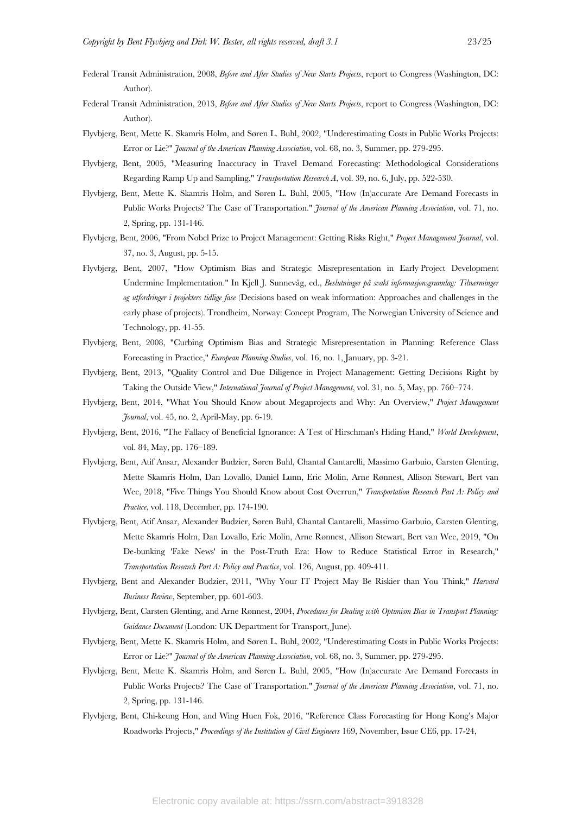- Federal Transit Administration, 2008, *Before and After Studies of New Starts Projects*, report to Congress (Washington, DC: Author).
- Federal Transit Administration, 2013, *Before and After Studies of New Starts Projects*, report to Congress (Washington, DC: Author).
- Flyvbjerg, Bent, Mette K. Skamris Holm, and Søren L. Buhl, 2002, "Underestimating Costs in Public Works Projects: Error or Lie?" *Journal of the American Planning Association*, vol. 68, no. 3, Summer, pp. 279-295.
- Flyvbjerg, Bent, 2005, "Measuring Inaccuracy in Travel Demand Forecasting: Methodological Considerations Regarding Ramp Up and Sampling," *Transportation Research A*, vol. 39, no. 6, July, pp. 522-530.
- Flyvbjerg, Bent, Mette K. Skamris Holm, and Søren L. Buhl, 2005, "How (In)accurate Are Demand Forecasts in Public Works Projects? The Case of Transportation." *Journal of the American Planning Association*, vol. 71, no. 2, Spring, pp. 131-146.
- Flyvbjerg, Bent, 2006, "From Nobel Prize to Project Management: Getting Risks Right," *Project Management Journal*, vol. 37, no. 3, August, pp. 5-15.
- Flyvbjerg, Bent, 2007, "How Optimism Bias and Strategic Misrepresentation in Early Project Development Undermine Implementation." In Kjell J. Sunnevåg, ed., *Beslutninger på svakt informasjonsgrunnlag: Tilnærminger og utfordringer i projekters tidlige fase* (Decisions based on weak information: Approaches and challenges in the early phase of projects). Trondheim, Norway: Concept Program, The Norwegian University of Science and Technology, pp. 41-55.
- Flyvbjerg, Bent, 2008, "Curbing Optimism Bias and Strategic Misrepresentation in Planning: Reference Class Forecasting in Practice," *European Planning Studies*, vol. 16, no. 1, January, pp. 3-21.
- Flyvbjerg, Bent, 2013, "Quality Control and Due Diligence in Project Management: Getting Decisions Right by Taking the Outside View," *International Journal of Project Management*, vol. 31, no. 5, May, pp. 760–774.
- Flyvbjerg, Bent, 2014, "What You Should Know about Megaprojects and Why: An Overview," *Project Management Journal*, vol. 45, no. 2, April-May, pp. 6-19.
- Flyvbjerg, Bent, 2016, "The Fallacy of Beneficial Ignorance: A Test of Hirschman's Hiding Hand," *World Development*, vol. 84, May, pp. 176–189.
- Flyvbjerg, Bent, Atif Ansar, Alexander Budzier, Søren Buhl, Chantal Cantarelli, Massimo Garbuio, Carsten Glenting, Mette Skamris Holm, Dan Lovallo, Daniel Lunn, Eric Molin, Arne Rønnest, Allison Stewart, Bert van Wee, 2018, "Five Things You Should Know about Cost Overrun," *Transportation Research Part A: Policy and Practice*, vol. 118, December, pp. 174-190.
- Flyvbjerg, Bent, Atif Ansar, Alexander Budzier, Søren Buhl, Chantal Cantarelli, Massimo Garbuio, Carsten Glenting, Mette Skamris Holm, Dan Lovallo, Eric Molin, Arne Rønnest, Allison Stewart, Bert van Wee, 2019, "On De-bunking 'Fake News' in the Post-Truth Era: How to Reduce Statistical Error in Research," *Transportation Research Part A: Policy and Practice*, vol. 126, August, pp. 409-411.
- Flyvbjerg, Bent and Alexander Budzier, 2011, "Why Your IT Project May Be Riskier than You Think," *Harvard Business Review*, September, pp. 601-603.
- Flyvbjerg, Bent, Carsten Glenting, and Arne Rønnest, 2004, *Procedures for Dealing with Optimism Bias in Transport Planning: Guidance Document* (London: UK Department for Transport, June).
- Flyvbjerg, Bent, Mette K. Skamris Holm, and Søren L. Buhl, 2002, "Underestimating Costs in Public Works Projects: Error or Lie?" *Journal of the American Planning Association*, vol. 68, no. 3, Summer, pp. 279-295.
- Flyvbjerg, Bent, Mette K. Skamris Holm, and Søren L. Buhl, 2005, "How (In)accurate Are Demand Forecasts in Public Works Projects? The Case of Transportation." *Journal of the American Planning Association*, vol. 71, no. 2, Spring, pp. 131-146.
- Flyvbjerg, Bent, Chi-keung Hon, and Wing Huen Fok, 2016, "Reference Class Forecasting for Hong Kong's Major Roadworks Projects," *Proceedings of the Institution of Civil Engineers* 169, November, Issue CE6, pp. 17-24,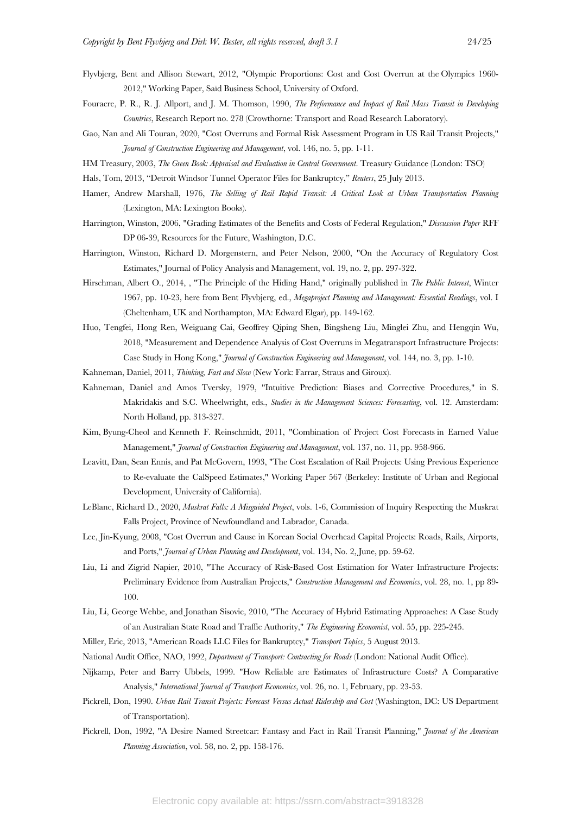- Flyvbjerg, Bent and Allison Stewart, 2012, "Olympic Proportions: Cost and Cost Overrun at the Olympics 1960- 2012," Working Paper, Saïd Business School, University of Oxford.
- Fouracre, P. R., R. J. Allport, and J. M. Thomson, 1990, *The Performance and Impact of Rail Mass Transit in Developing Countries*, Research Report no. 278 (Crowthorne: Transport and Road Research Laboratory).
- Gao, Nan and Ali Touran, 2020, "Cost Overruns and Formal Risk Assessment Program in US Rail Transit Projects," *Journal of Construction Engineering and Management*, vol. 146, no. 5, pp. 1-11.
- HM Treasury, 2003, *The Green Book: Appraisal and Evaluation in Central Government*. Treasury Guidance (London: TSO)
- Hals, Tom, 2013, "Detroit Windsor Tunnel Operator Files for Bankruptcy," *Reuters*, 25 July 2013.
- Hamer, Andrew Marshall, 1976, *The Selling of Rail Rapid Transit: A Critical Look at Urban Transportation Planning* (Lexington, MA: Lexington Books).
- Harrington, Winston, 2006, "Grading Estimates of the Benefits and Costs of Federal Regulation," *Discussion Paper* RFF DP 06-39, Resources for the Future, Washington, D.C.
- Harrington, Winston, Richard D. Morgenstern, and Peter Nelson, 2000, "On the Accuracy of Regulatory Cost Estimates," Journal of Policy Analysis and Management, vol. 19, no. 2, pp. 297-322.
- Hirschman, Albert O., 2014, , "The Principle of the Hiding Hand," originally published in *The Public Interest*, Winter 1967, pp. 10-23, here from Bent Flyvbjerg, ed., *Megaproject Planning and Management: Essential Readings*, vol. I (Cheltenham, UK and Northampton, MA: Edward Elgar), pp. 149-162.
- Huo, Tengfei, Hong Ren, Weiguang Cai, Geoffrey Qiping Shen, Bingsheng Liu, Minglei Zhu, and Hengqin Wu, 2018, "Measurement and Dependence Analysis of Cost Overruns in Megatransport Infrastructure Projects: Case Study in Hong Kong," *Journal of Construction Engineering and Management*, vol. 144, no. 3, pp. 1-10.
- Kahneman, Daniel, 2011, *Thinking, Fast and Slow* (New York: Farrar, Straus and Giroux).
- Kahneman, Daniel and Amos Tversky, 1979, "Intuitive Prediction: Biases and Corrective Procedures," in S. Makridakis and S.C. Wheelwright, eds., *Studies in the Management Sciences: Forecasting*, vol. 12. Amsterdam: North Holland, pp. 313-327.
- Kim, Byung-Cheol and Kenneth F. Reinschmidt, 2011, "Combination of Project Cost Forecasts in Earned Value Management," *Journal of Construction Engineering and Management*, vol. 137, no. 11, pp. 958-966.
- Leavitt, Dan, Sean Ennis, and Pat McGovern, 1993, "The Cost Escalation of Rail Projects: Using Previous Experience to Re-evaluate the CalSpeed Estimates," Working Paper 567 (Berkeley: Institute of Urban and Regional Development, University of California).
- LeBlanc, Richard D., 2020, *Muskrat Falls: A Misguided Project*, vols. 1-6, Commission of Inquiry Respecting the Muskrat Falls Project, Province of Newfoundland and Labrador, Canada.
- Lee, Jin-Kyung, 2008, "Cost Overrun and Cause in Korean Social Overhead Capital Projects: Roads, Rails, Airports, and Ports," *Journal of Urban Planning and Development*, vol. 134, No. 2, June, pp. 59-62.
- Liu, Li and Zigrid Napier, 2010, "The Accuracy of Risk-Based Cost Estimation for Water Infrastructure Projects: Preliminary Evidence from Australian Projects," *Construction Management and Economics*, vol. 28, no. 1, pp 89- 100.
- Liu, Li, George Wehbe, and Jonathan Sisovic, 2010, "The Accuracy of Hybrid Estimating Approaches: A Case Study of an Australian State Road and Traffic Authority," *The Engineering Economist*, vol. 55, pp. 225-245.
- Miller, Eric, 2013, "American Roads LLC Files for Bankruptcy," *Transport Topics*, 5 August 2013.
- National Audit Office, NAO, 1992, *Department of Transport: Contracting for Roads* (London: National Audit Office).
- Nijkamp, Peter and Barry Ubbels, 1999. "How Reliable are Estimates of Infrastructure Costs? A Comparative Analysis," *International Journal of Transport Economics*, vol. 26, no. 1, February, pp. 23-53.
- Pickrell, Don, 1990. *Urban Rail Transit Projects: Forecast Versus Actual Ridership and Cost* (Washington, DC: US Department of Transportation).
- Pickrell, Don, 1992, "A Desire Named Streetcar: Fantasy and Fact in Rail Transit Planning," *Journal of the American Planning Association*, vol. 58, no. 2, pp. 158-176.